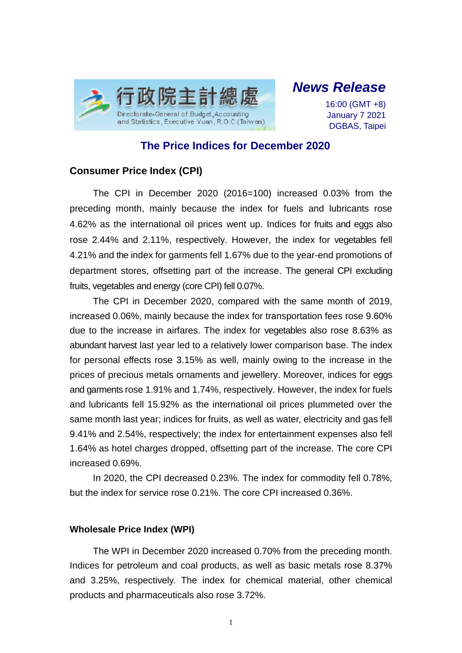

# *News Release*

16:00 (GMT +8) January 7 2021 DGBAS, Taipei

# **The Price Indices for December 2020**

# **Consumer Price Index (CPI)**

The CPI in December 2020 (2016=100) increased 0.03% from the preceding month, mainly because the index for fuels and lubricants rose 4.62% as the international oil prices went up. Indices for fruits and eggs also rose 2.44% and 2.11%, respectively. However, the index for vegetables fell 4.21% and the index for garments fell 1.67% due to the year-end promotions of department stores, offsetting part of the increase. The general CPI excluding fruits, vegetables and energy (core CPI) fell 0.07%.

The CPI in December 2020, compared with the same month of 2019, increased 0.06%, mainly because the index for transportation fees rose 9.60% due to the increase in airfares. The index for vegetables also rose 8.63% as abundant harvest last year led to a relatively lower comparison base. The index for personal effects rose 3.15% as well, mainly owing to the increase in the prices of precious metals ornaments and jewellery. Moreover, indices for eggs and garments rose 1.91% and 1.74%, respectively. However, the index for fuels and lubricants fell 15.92% as the international oil prices plummeted over the same month last year; indices for fruits, as well as water, electricity and gas fell 9.41% and 2.54%, respectively; the index for entertainment expenses also fell 1.64% as hotel charges dropped, offsetting part of the increase. The core CPI increased 0.69%.

In 2020, the CPI decreased 0.23%. The index for commodity fell 0.78%, but the index for service rose 0.21%. The core CPI increased 0.36%.

#### **Wholesale Price Index (WPI)**

The WPI in December 2020 increased 0.70% from the preceding month. Indices for petroleum and coal products, as well as basic metals rose 8.37% and 3.25%, respectively. The index for chemical material, other chemical products and pharmaceuticals also rose 3.72%.